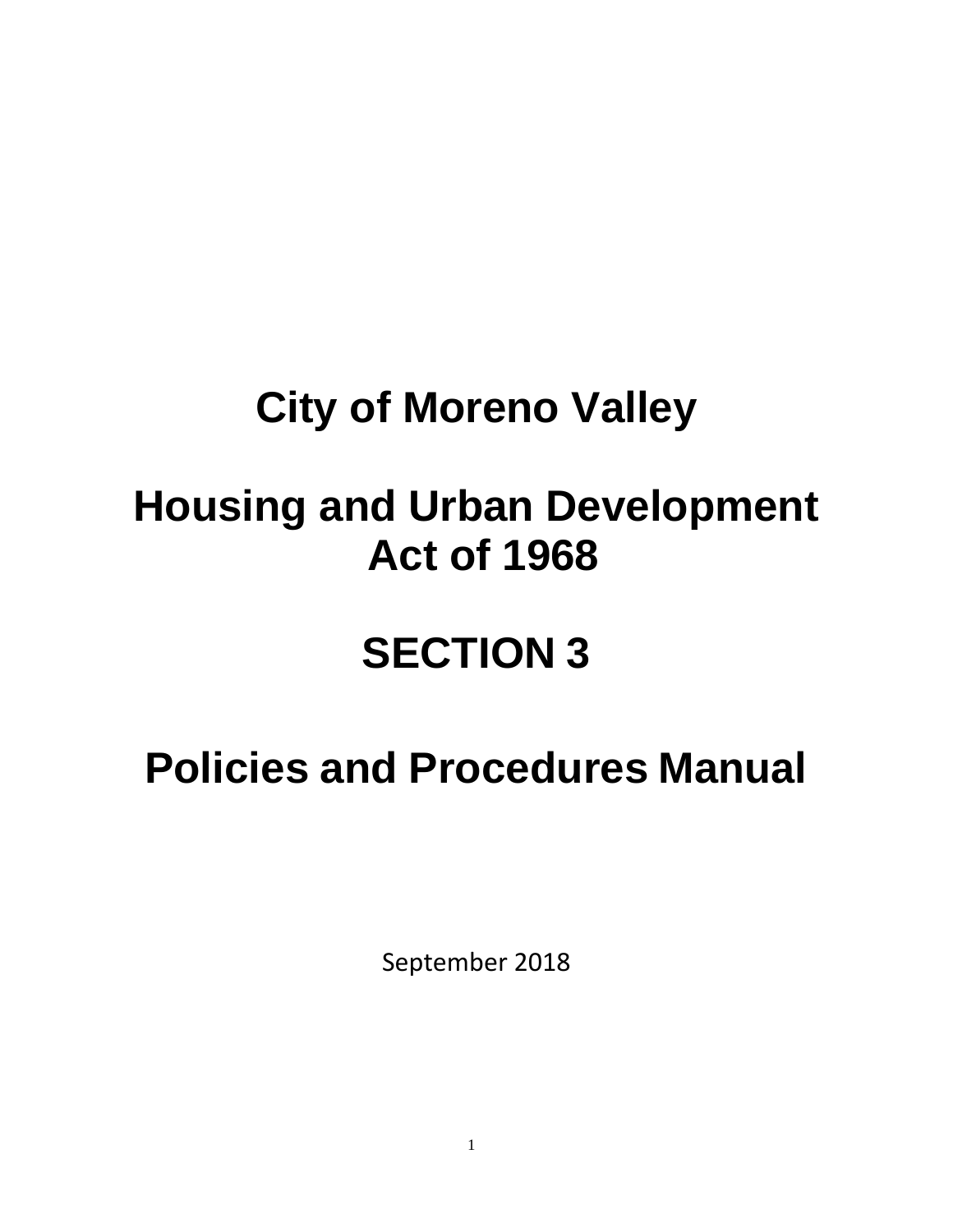# **City of Moreno Valley**

# **Housing and Urban Development Act of 1968**

# **SECTION 3**

# **Policies and Procedures Manual**

September 2018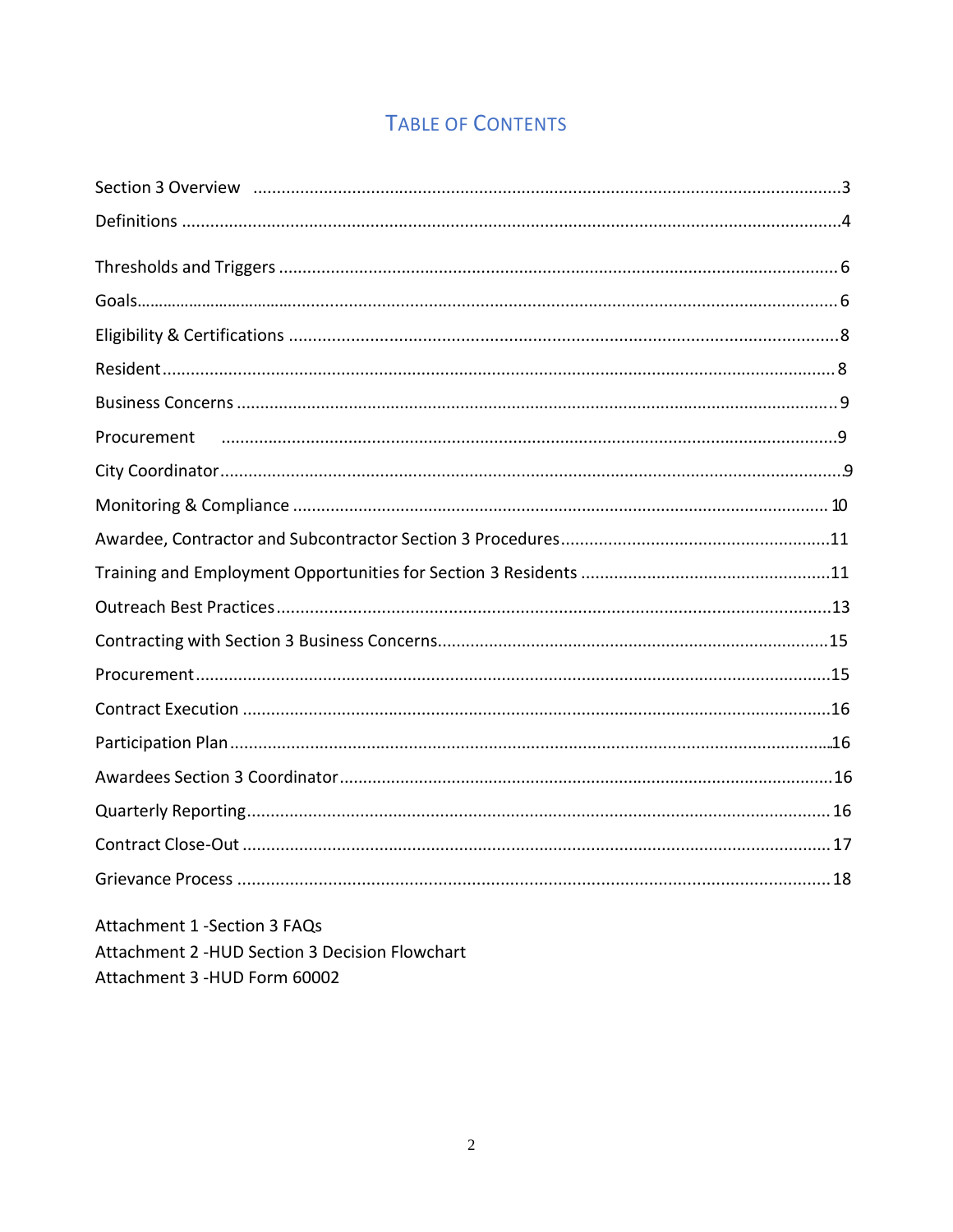# **TABLE OF CONTENTS**

| Procurement                                                                                                                                                                                                                                                               |
|---------------------------------------------------------------------------------------------------------------------------------------------------------------------------------------------------------------------------------------------------------------------------|
|                                                                                                                                                                                                                                                                           |
|                                                                                                                                                                                                                                                                           |
|                                                                                                                                                                                                                                                                           |
|                                                                                                                                                                                                                                                                           |
|                                                                                                                                                                                                                                                                           |
|                                                                                                                                                                                                                                                                           |
|                                                                                                                                                                                                                                                                           |
|                                                                                                                                                                                                                                                                           |
|                                                                                                                                                                                                                                                                           |
|                                                                                                                                                                                                                                                                           |
|                                                                                                                                                                                                                                                                           |
|                                                                                                                                                                                                                                                                           |
|                                                                                                                                                                                                                                                                           |
| <b>Attachment 1 - Section 3 FAQs</b><br>$\mathbf{r}$ , and the contract of the contract of the contract of the contract of the contract of the contract of the contract of the contract of the contract of the contract of the contract of the contract of the contract o |

Attachment 2 - HUD Section 3 Decision Flowchart

Attachment 3 - HUD Form 60002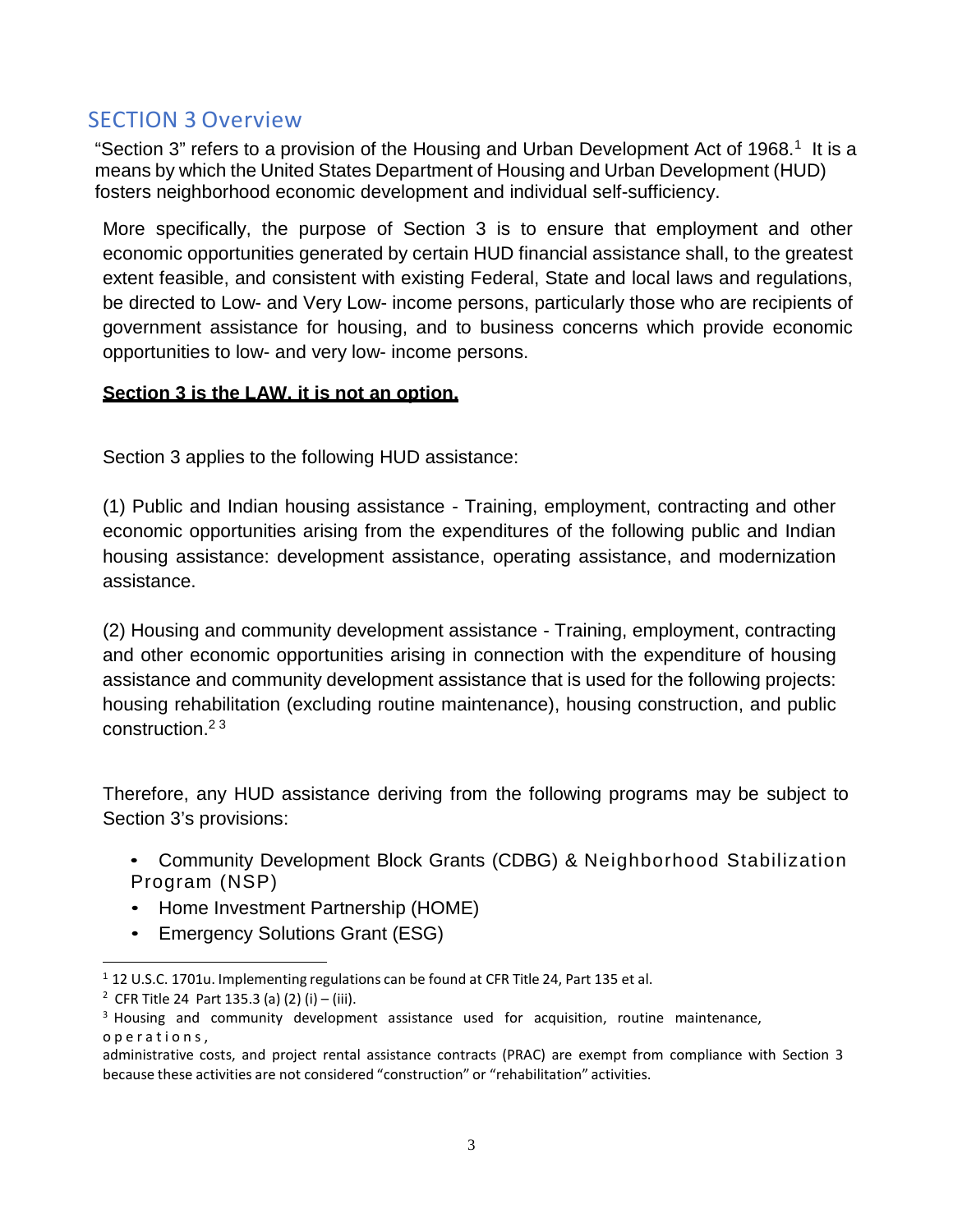## SECTION 3 Overview

"Section 3" refers to a provision of the Housing and Urban Development Act of 1968.<sup>1</sup> It is a means by which the United States Department of Housing and Urban Development (HUD) fosters neighborhood economic development and individual self-sufficiency.

More specifically, the purpose of Section 3 is to ensure that employment and other economic opportunities generated by certain HUD financial assistance shall, to the greatest extent feasible, and consistent with existing Federal, State and local laws and regulations, be directed to Low- and Very Low- income persons, particularly those who are recipients of government assistance for housing, and to business concerns which provide economic opportunities to low- and very low- income persons.

#### **Section 3 is the LAW, it is not an option.**

Section 3 applies to the following HUD assistance:

(1) Public and Indian housing assistance - Training, employment, contracting and other economic opportunities arising from the expenditures of the following public and Indian housing assistance: development assistance, operating assistance, and modernization assistance.

(2) Housing and community development assistance - Training, employment, contracting and other economic opportunities arising in connection with the expenditure of housing assistance and community development assistance that is used for the following projects: housing rehabilitation (excluding routine maintenance), housing construction, and public construction.2 3

Therefore, any HUD assistance deriving from the following programs may be subject to Section 3's provisions:

- Community Development Block Grants (CDBG) & Neighborhood Stabilization Program (NSP)
- Home Investment Partnership (HOME)
- Emergency Solutions Grant (ESG)

<sup>1</sup>12 U.S.C. 1701u. Implementing regulations can be found at CFR Title 24, Part 135 et al.

<sup>&</sup>lt;sup>2</sup> CFR Title 24 Part 135.3 (a) (2) (i) – (iii).

 $3$  Housing and community development assistance used for acquisition, routine maintenance, operations,

administrative costs, and project rental assistance contracts (PRAC) are exempt from compliance with Section 3 because these activities are not considered "construction" or "rehabilitation" activities.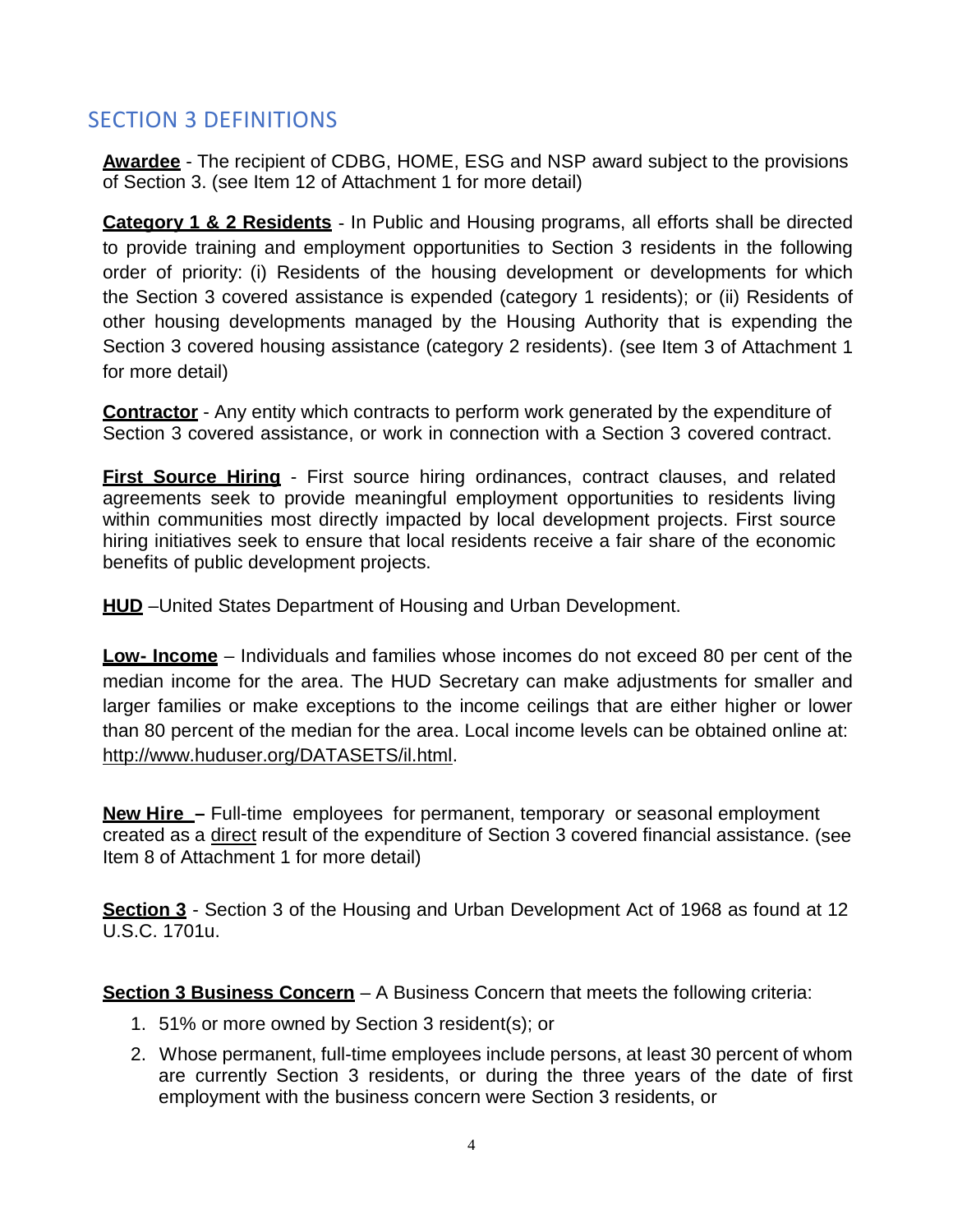## SECTION 3 DEFINITIONS

**Awardee** - The recipient of CDBG, HOME, ESG and NSP award subject to the provisions of Section 3. (see Item 12 of Attachment 1 for more detail)

**Category 1 & 2 Residents** - In Public and Housing programs, all efforts shall be directed to provide training and employment opportunities to Section 3 residents in the following order of priority: (i) Residents of the housing development or developments for which the Section 3 covered assistance is expended (category 1 residents); or (ii) Residents of other housing developments managed by the Housing Authority that is expending the Section 3 covered housing assistance (category 2 residents). (see Item 3 of Attachment 1 for more detail)

**Contractor** - Any entity which contracts to perform work generated by the expenditure of Section 3 covered assistance, or work in connection with a Section 3 covered contract.

**First Source Hiring** - First source hiring ordinances, contract clauses, and related agreements seek to provide meaningful employment opportunities to residents living within communities most directly impacted by local development projects. First source hiring initiatives seek to ensure that local residents receive a fair share of the economic benefits of public development projects.

**HUD** –United States Department of Housing and Urban Development.

**Low- Income** – Individuals and families whose incomes do not exceed 80 per cent of the median income for the area. The HUD Secretary can make adjustments for smaller and larger families or make exceptions to the income ceilings that are either higher or lower than 80 percent of the median for the area. Local income levels can be obtained online at: http://www.huduser.org/DATASETS/il.html.

**New Hire –** Full-time employees for permanent, temporary or seasonal employment created as a direct result of the expenditure of Section 3 covered financial assistance. (see Item 8 of Attachment 1 for more detail)

**Section 3** - Section 3 of the Housing and Urban Development Act of 1968 as found at 12 U.S.C. 1701u.

**Section 3 Business Concern** – A Business Concern that meets the following criteria:

- 1. 51% or more owned by Section 3 resident(s); or
- 2. Whose permanent, full-time employees include persons, at least 30 percent of whom are currently Section 3 residents, or during the three years of the date of first employment with the business concern were Section 3 residents, or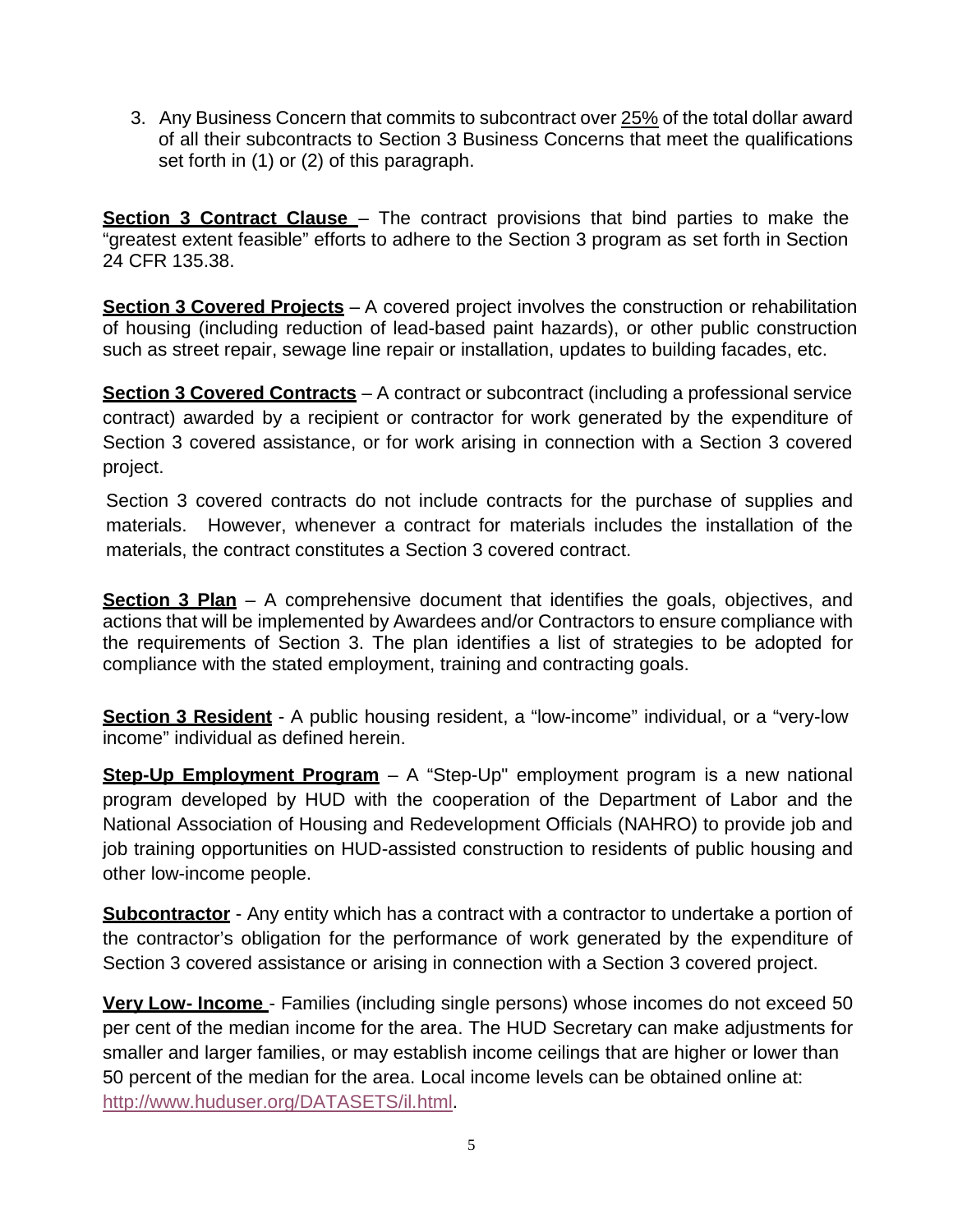3. Any Business Concern that commits to subcontract over 25% of the total dollar award of all their subcontracts to Section 3 Business Concerns that meet the qualifications set forth in (1) or (2) of this paragraph.

**Section 3 Contract Clause** – The contract provisions that bind parties to make the "greatest extent feasible" efforts to adhere to the Section 3 program as set forth in Section 24 CFR 135.38.

**Section 3 Covered Projects** – A covered project involves the construction or rehabilitation of housing (including reduction of lead-based paint hazards), or other public construction such as street repair, sewage line repair or installation, updates to building facades, etc.

**Section 3 Covered Contracts** – A contract or subcontract (including a professional service contract) awarded by a recipient or contractor for work generated by the expenditure of Section 3 covered assistance, or for work arising in connection with a Section 3 covered project.

Section 3 covered contracts do not include contracts for the purchase of supplies and materials. However, whenever a contract for materials includes the installation of the materials, the contract constitutes a Section 3 covered contract.

**Section 3 Plan** – A comprehensive document that identifies the goals, objectives, and actions that will be implemented by Awardees and/or Contractors to ensure compliance with the requirements of Section 3. The plan identifies a list of strategies to be adopted for compliance with the stated employment, training and contracting goals.

**Section 3 Resident** - A public housing resident, a "low-income" individual, or a "very-low income" individual as defined herein.

**Step-Up Employment Program** – A "Step-Up" employment program is a new national program developed by HUD with the cooperation of the Department of Labor and the National Association of Housing and Redevelopment Officials (NAHRO) to provide job and job training opportunities on HUD-assisted construction to residents of public housing and other low-income people.

**Subcontractor** - Any entity which has a contract with a contractor to undertake a portion of the contractor's obligation for the performance of work generated by the expenditure of Section 3 covered assistance or arising in connection with a Section 3 covered project.

**Very Low- Income** - Families (including single persons) whose incomes do not exceed 50 per cent of the median income for the area. The HUD Secretary can make adjustments for smaller and larger families, or may establish income ceilings that are higher or lower than 50 percent of the median for the area. Local income levels can be obtained online at: http://www.huduser.org/DATASETS/il.html.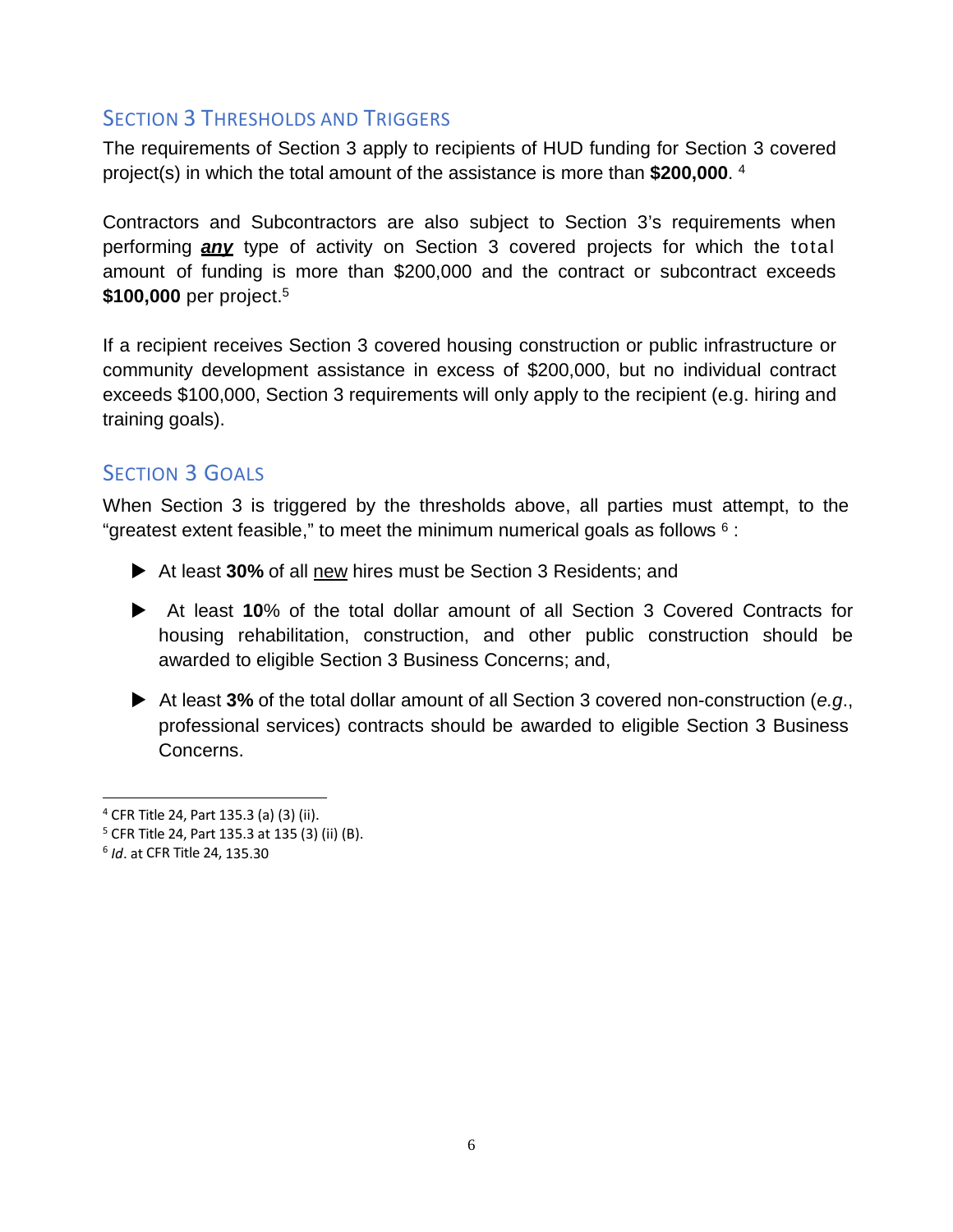#### SECTION 3 THRESHOLDS AND TRIGGERS

The requirements of Section 3 apply to recipients of HUD funding for Section 3 covered project(s) in which the total amount of the assistance is more than **\$200,000**. 4

Contractors and Subcontractors are also subject to Section 3's requirements when performing *any* type of activity on Section 3 covered projects for which the total amount of funding is more than \$200,000 and the contract or subcontract exceeds **\$100,000** per project.5

If a recipient receives Section 3 covered housing construction or public infrastructure or community development assistance in excess of \$200,000, but no individual contract exceeds \$100,000, Section 3 requirements will only apply to the recipient (e.g. hiring and training goals).

## SECTION 3 GOALS

When Section 3 is triggered by the thresholds above, all parties must attempt, to the "greatest extent feasible," to meet the minimum numerical goals as follows  $6$  :

- At least **30%** of all new hires must be Section 3 Residents; and
- At least **10**% of the total dollar amount of all Section 3 Covered Contracts for housing rehabilitation, construction, and other public construction should be awarded to eligible Section 3 Business Concerns; and,
- At least **3%** of the total dollar amount of all Section 3 covered non-construction (*e.g*., professional services) contracts should be awarded to eligible Section 3 Business Concerns.

<sup>4</sup> CFR Title 24, Part 135.3 (a) (3) (ii).

<sup>5</sup> CFR Title 24, Part 135.3 at 135 (3) (ii) (B).

<sup>6</sup> *Id*. at CFR Title 24, 135.30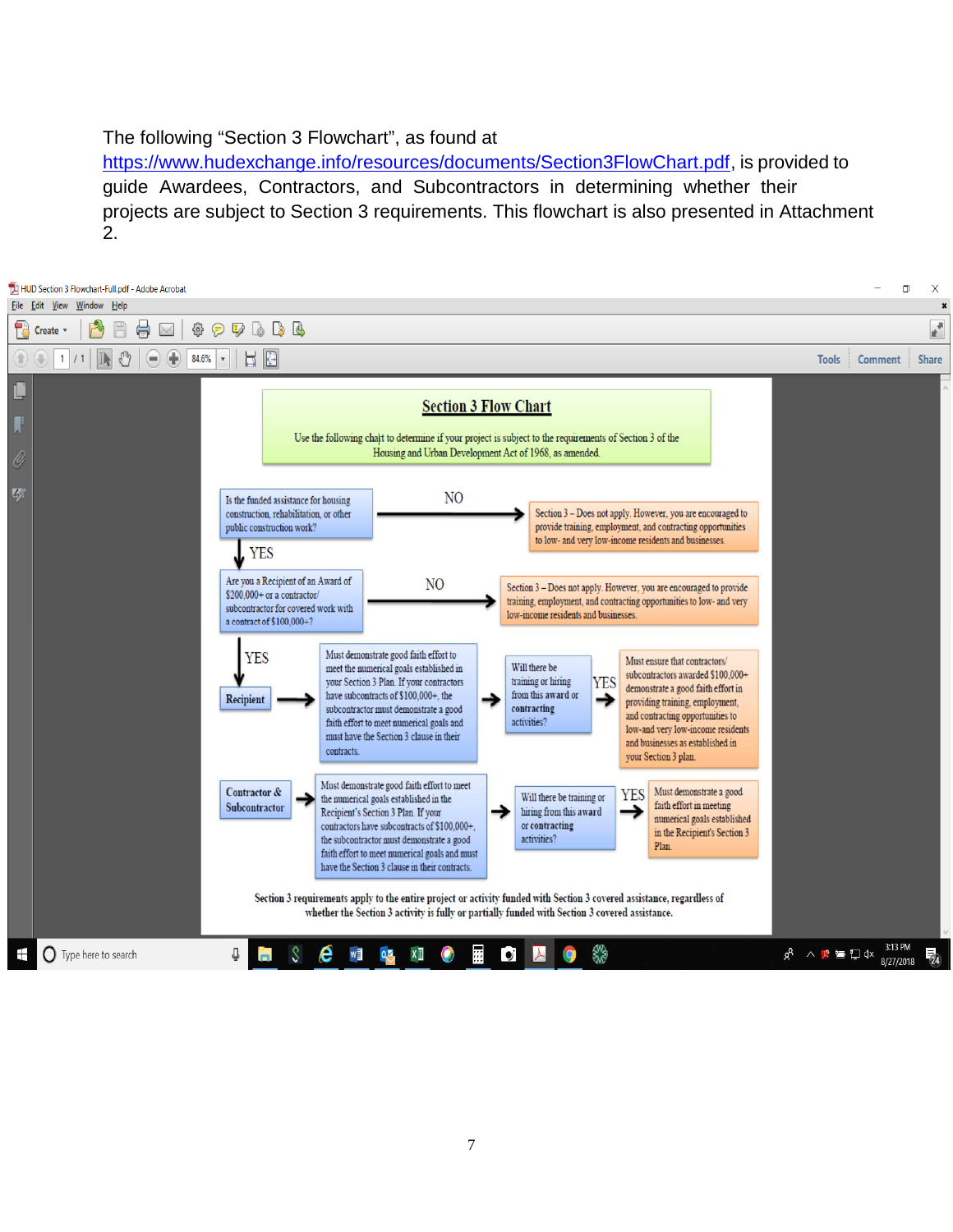#### The following "Section 3 Flowchart", as found at

https://www.hudexchange.info/resources/documents/Section3FlowChart.pdf, is provided to guide Awardees, Contractors, and Subcontractors in determining whether their projects are subject to Section 3 requirements. This flowchart is also presented in Attachment 2.

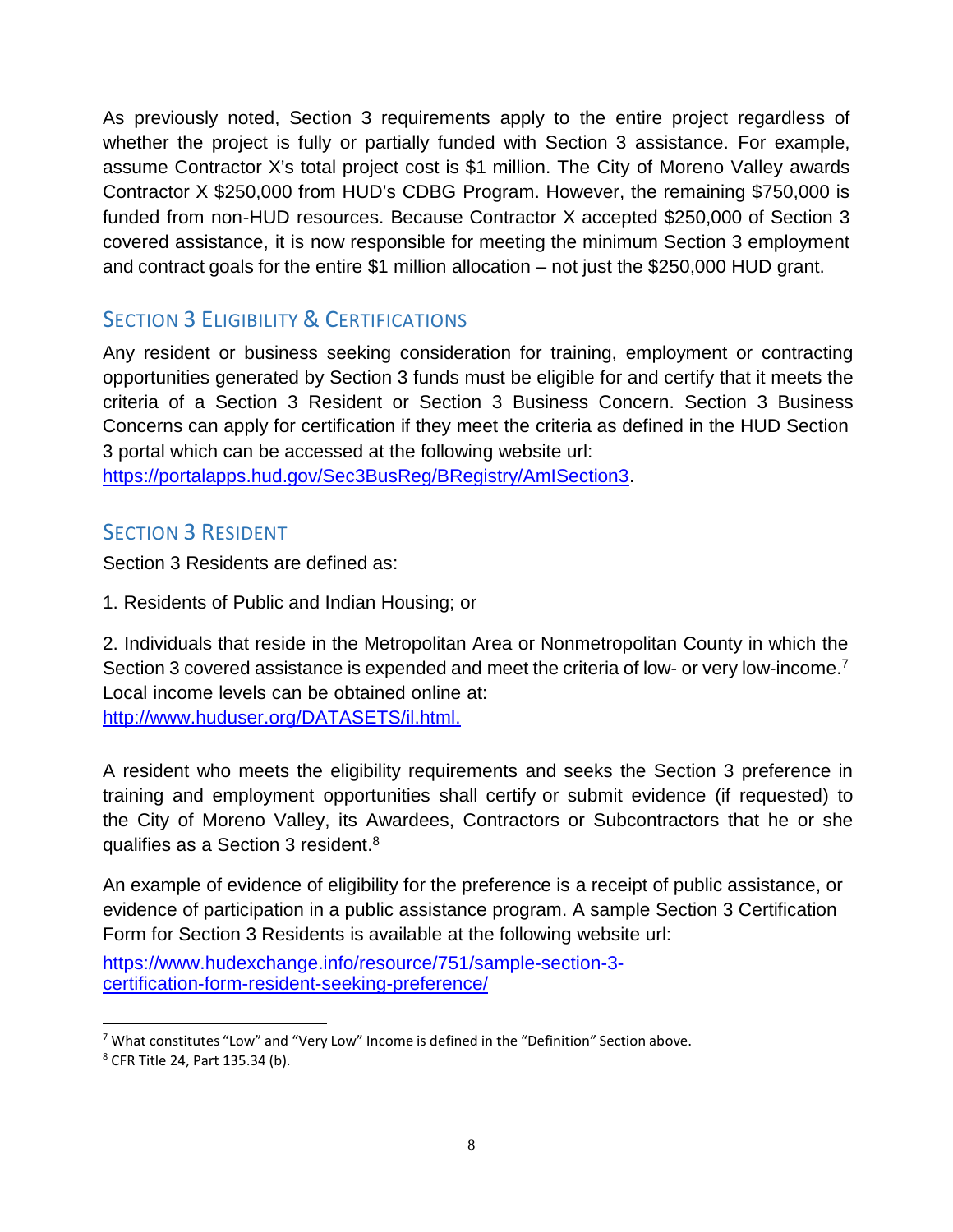As previously noted, Section 3 requirements apply to the entire project regardless of whether the project is fully or partially funded with Section 3 assistance. For example, assume Contractor X's total project cost is \$1 million. The City of Moreno Valley awards Contractor X \$250,000 from HUD's CDBG Program. However, the remaining \$750,000 is funded from non-HUD resources. Because Contractor X accepted \$250,000 of Section 3 covered assistance, it is now responsible for meeting the minimum Section 3 employment and contract goals for the entire \$1 million allocation – not just the \$250,000 HUD grant.

## **SECTION 3 ELIGIBILITY & CERTIFICATIONS**

Any resident or business seeking consideration for training, employment or contracting opportunities generated by Section 3 funds must be eligible for and certify that it meets the criteria of a Section 3 Resident or Section 3 Business Concern. Section 3 Business Concerns can apply for certification if they meet the criteria as defined in the HUD Section 3 portal which can be accessed at the following website url:

https://portalapps.hud.gov/Sec3BusReg/BRegistry/AmISection3.

#### SECTION 3 RESIDENT

Section 3 Residents are defined as:

1. Residents of Public and Indian Housing; or

2. Individuals that reside in the Metropolitan Area or Nonmetropolitan County in which the Section 3 covered assistance is expended and meet the criteria of low- or very low-income.<sup>7</sup> Local income levels can be obtained online at: http://www.huduser.org/DATASETS/il.html.

A resident who meets the eligibility requirements and seeks the Section 3 preference in training and employment opportunities shall certify or submit evidence (if requested) to the City of Moreno Valley, its Awardees, Contractors or Subcontractors that he or she qualifies as a Section 3 resident.<sup>8</sup>

An example of evidence of eligibility for the preference is a receipt of public assistance, or evidence of participation in a public assistance program. A sample Section 3 Certification Form for Section 3 Residents is available at the following website url:

https://www.hudexchange.info/resource/751/sample-section-3 certification-form-resident-seeking-preference/

 $7$  What constitutes "Low" and "Very Low" Income is defined in the "Definition" Section above.

<sup>8</sup> CFR Title 24, Part 135.34 (b).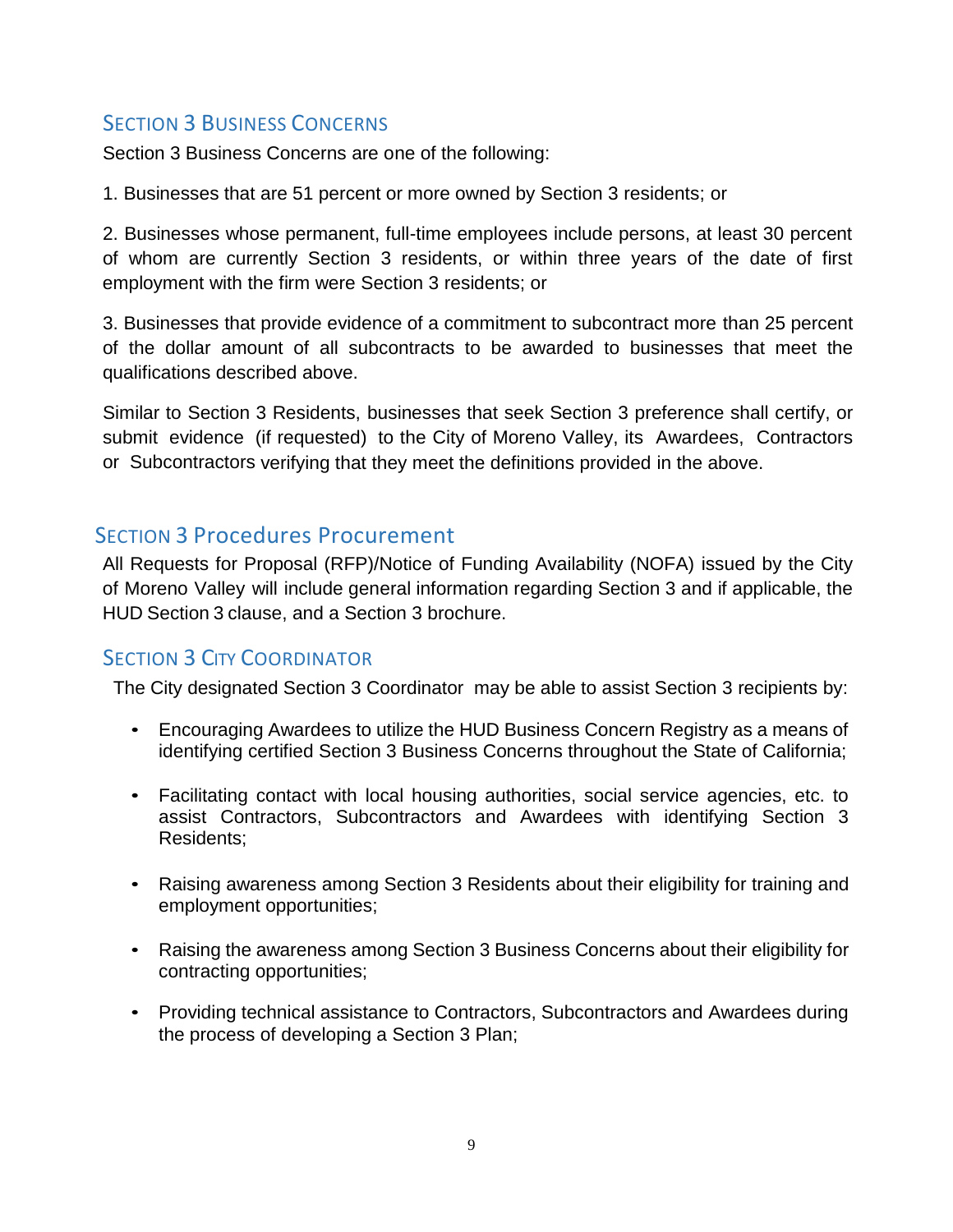### **SECTION 3 BUSINESS CONCERNS**

Section 3 Business Concerns are one of the following:

1. Businesses that are 51 percent or more owned by Section 3 residents; or

2. Businesses whose permanent, full-time employees include persons, at least 30 percent of whom are currently Section 3 residents, or within three years of the date of first employment with the firm were Section 3 residents; or

3. Businesses that provide evidence of a commitment to subcontract more than 25 percent of the dollar amount of all subcontracts to be awarded to businesses that meet the qualifications described above.

Similar to Section 3 Residents, businesses that seek Section 3 preference shall certify, or submit evidence (if requested) to the City of Moreno Valley, its Awardees, Contractors or Subcontractors verifying that they meet the definitions provided in the above.

#### SECTION 3 Procedures Procurement

All Requests for Proposal (RFP)/Notice of Funding Availability (NOFA) issued by the City of Moreno Valley will include general information regarding Section 3 and if applicable, the HUD Section 3 clause, and a Section 3 brochure.

#### **SECTION 3 CITY COORDINATOR**

The City designated Section 3 Coordinator may be able to assist Section 3 recipients by:

- Encouraging Awardees to utilize the HUD Business Concern Registry as a means of identifying certified Section 3 Business Concerns throughout the State of California;
- Facilitating contact with local housing authorities, social service agencies, etc. to assist Contractors, Subcontractors and Awardees with identifying Section 3 Residents;
- Raising awareness among Section 3 Residents about their eligibility for training and employment opportunities;
- Raising the awareness among Section 3 Business Concerns about their eligibility for contracting opportunities;
- Providing technical assistance to Contractors, Subcontractors and Awardees during the process of developing a Section 3 Plan;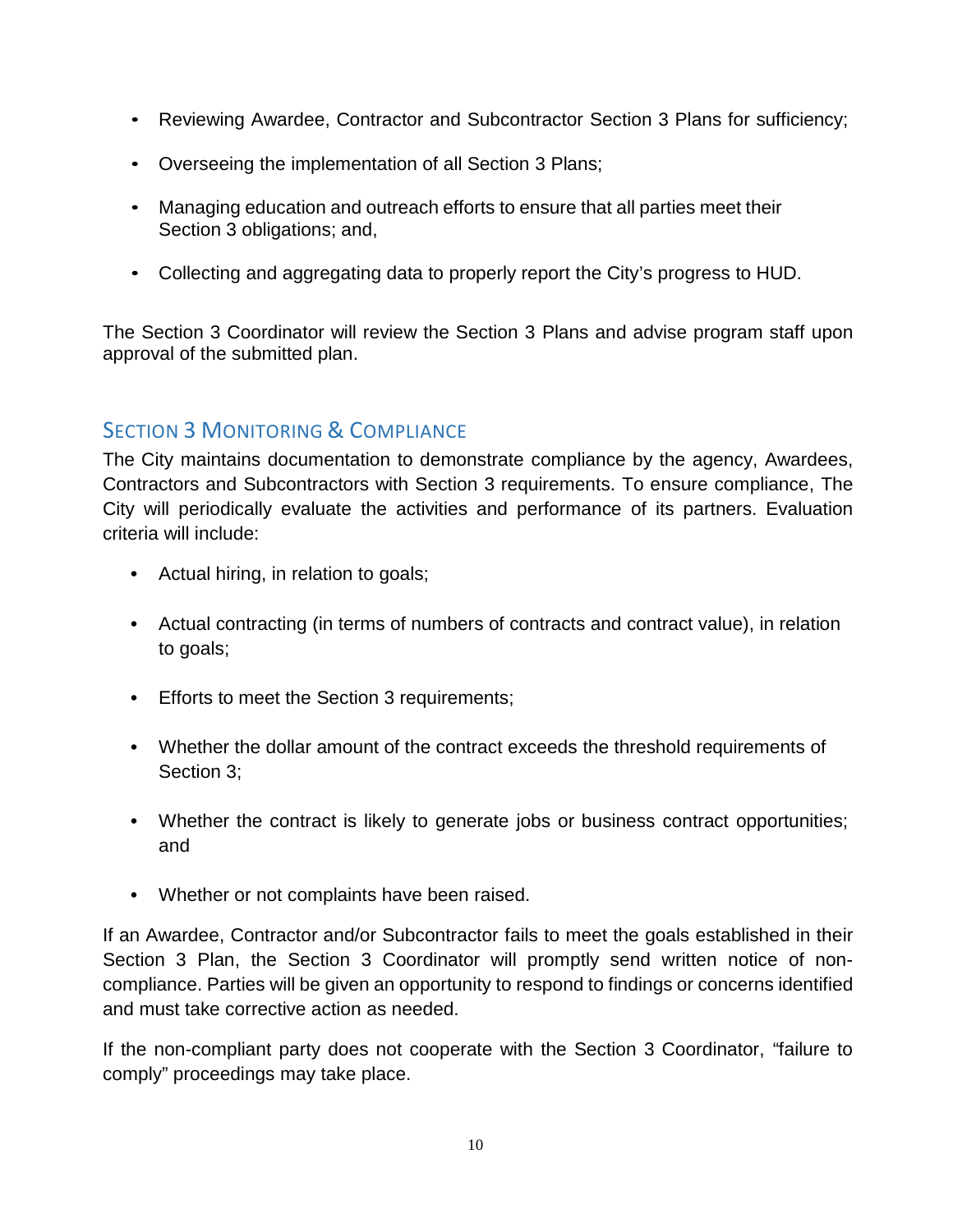- Reviewing Awardee, Contractor and Subcontractor Section 3 Plans for sufficiency;
- Overseeing the implementation of all Section 3 Plans;
- Managing education and outreach efforts to ensure that all parties meet their Section 3 obligations; and,
- Collecting and aggregating data to properly report the City's progress to HUD.

The Section 3 Coordinator will review the Section 3 Plans and advise program staff upon approval of the submitted plan.

## SECTION 3 MONITORING & COMPLIANCE

The City maintains documentation to demonstrate compliance by the agency, Awardees, Contractors and Subcontractors with Section 3 requirements. To ensure compliance, The City will periodically evaluate the activities and performance of its partners. Evaluation criteria will include:

- Actual hiring, in relation to goals;
- Actual contracting (in terms of numbers of contracts and contract value), in relation to goals;
- Efforts to meet the Section 3 requirements;
- Whether the dollar amount of the contract exceeds the threshold requirements of Section 3;
- Whether the contract is likely to generate jobs or business contract opportunities; and
- Whether or not complaints have been raised.

If an Awardee, Contractor and/or Subcontractor fails to meet the goals established in their Section 3 Plan, the Section 3 Coordinator will promptly send written notice of noncompliance. Parties will be given an opportunity to respond to findings or concerns identified and must take corrective action as needed.

If the non-compliant party does not cooperate with the Section 3 Coordinator, "failure to comply" proceedings may take place.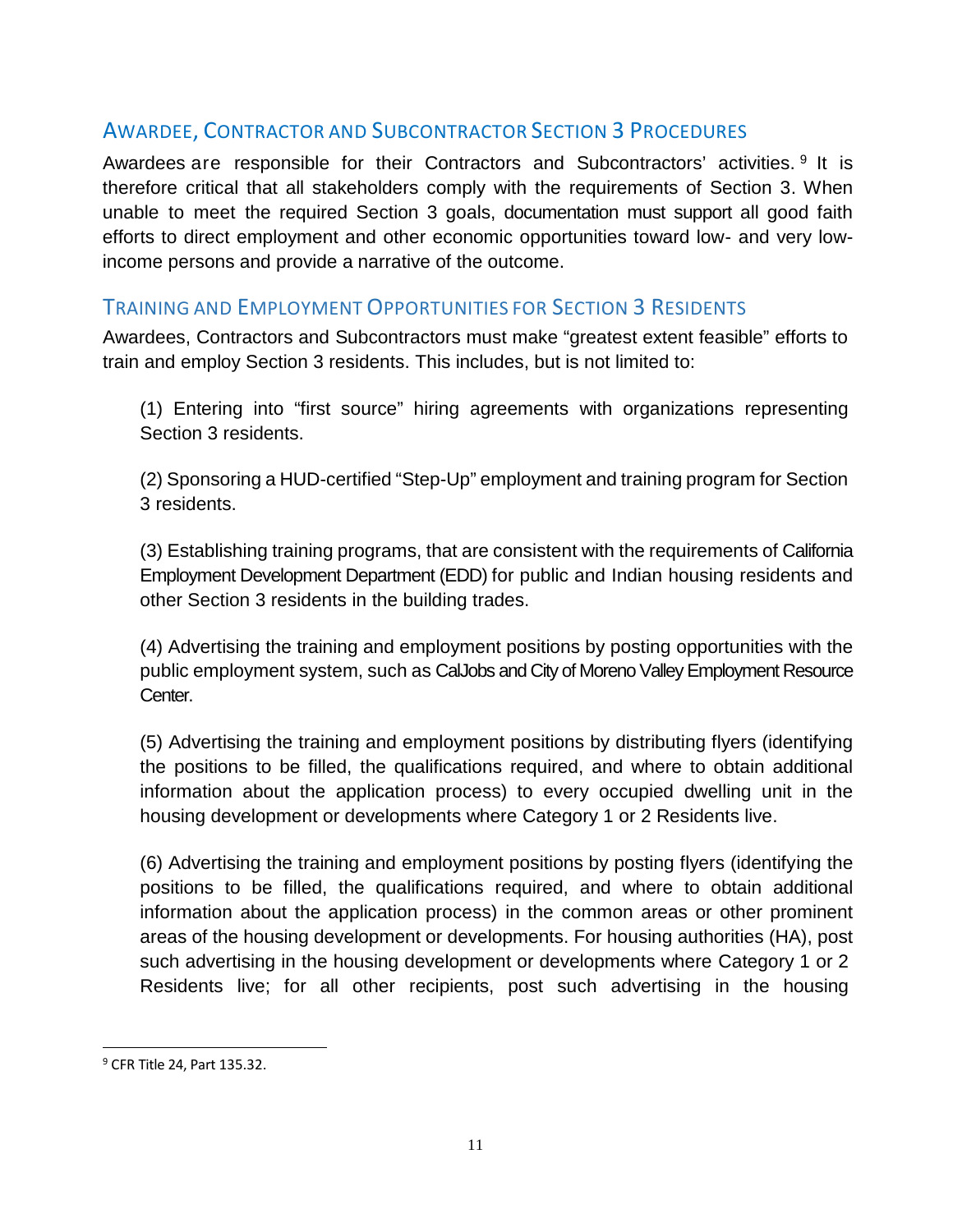### AWARDEE, CONTRACTOR AND SUBCONTRACTOR SECTION 3 PROCEDURES

Awardees are responsible for their Contractors and Subcontractors' activities. <sup>9</sup> It is therefore critical that all stakeholders comply with the requirements of Section 3. When unable to meet the required Section 3 goals, documentation must support all good faith efforts to direct employment and other economic opportunities toward low- and very lowincome persons and provide a narrative of the outcome.

#### TRAINING AND EMPLOYMENT OPPORTUNITIES FOR SECTION 3 RESIDENTS

Awardees, Contractors and Subcontractors must make "greatest extent feasible" efforts to train and employ Section 3 residents. This includes, but is not limited to:

(1) Entering into "first source" hiring agreements with organizations representing Section 3 residents.

(2) Sponsoring a HUD-certified "Step-Up" employment and training program for Section 3 residents.

(3) Establishing training programs, that are consistent with the requirements of California Employment Development Department (EDD) for public and Indian housing residents and other Section 3 residents in the building trades.

(4) Advertising the training and employment positions by posting opportunities with the public employment system, such as CalJobs and City of Moreno Valley Employment Resource Center.

(5) Advertising the training and employment positions by distributing flyers (identifying the positions to be filled, the qualifications required, and where to obtain additional information about the application process) to every occupied dwelling unit in the housing development or developments where Category 1 or 2 Residents live.

(6) Advertising the training and employment positions by posting flyers (identifying the positions to be filled, the qualifications required, and where to obtain additional information about the application process) in the common areas or other prominent areas of the housing development or developments. For housing authorities (HA), post such advertising in the housing development or developments where Category 1 or 2 Residents live; for all other recipients, post such advertising in the housing

<sup>9</sup> CFR Title 24, Part 135.32.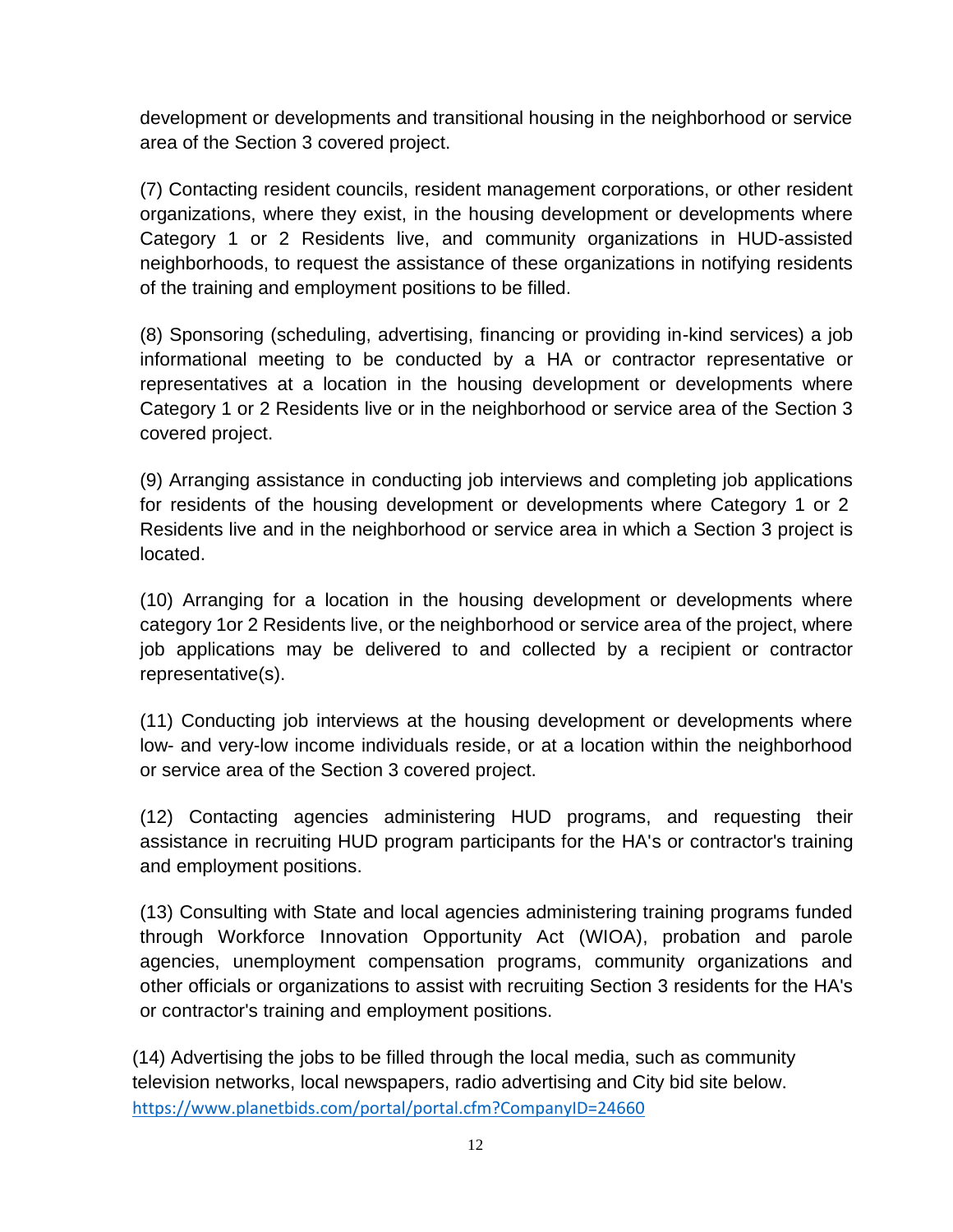development or developments and transitional housing in the neighborhood or service area of the Section 3 covered project.

(7) Contacting resident councils, resident management corporations, or other resident organizations, where they exist, in the housing development or developments where Category 1 or 2 Residents live, and community organizations in HUD-assisted neighborhoods, to request the assistance of these organizations in notifying residents of the training and employment positions to be filled.

(8) Sponsoring (scheduling, advertising, financing or providing in-kind services) a job informational meeting to be conducted by a HA or contractor representative or representatives at a location in the housing development or developments where Category 1 or 2 Residents live or in the neighborhood or service area of the Section 3 covered project.

(9) Arranging assistance in conducting job interviews and completing job applications for residents of the housing development or developments where Category 1 or 2 Residents live and in the neighborhood or service area in which a Section 3 project is located.

(10) Arranging for a location in the housing development or developments where category 1or 2 Residents live, or the neighborhood or service area of the project, where job applications may be delivered to and collected by a recipient or contractor representative(s).

(11) Conducting job interviews at the housing development or developments where low- and very-low income individuals reside, or at a location within the neighborhood or service area of the Section 3 covered project.

(12) Contacting agencies administering HUD programs, and requesting their assistance in recruiting HUD program participants for the HA's or contractor's training and employment positions.

(13) Consulting with State and local agencies administering training programs funded through Workforce Innovation Opportunity Act (WIOA), probation and parole agencies, unemployment compensation programs, community organizations and other officials or organizations to assist with recruiting Section 3 residents for the HA's or contractor's training and employment positions.

(14) Advertising the jobs to be filled through the local media, such as community television networks, local newspapers, radio advertising and City bid site below. https://www.planetbids.com/portal/portal.cfm?CompanyID=24660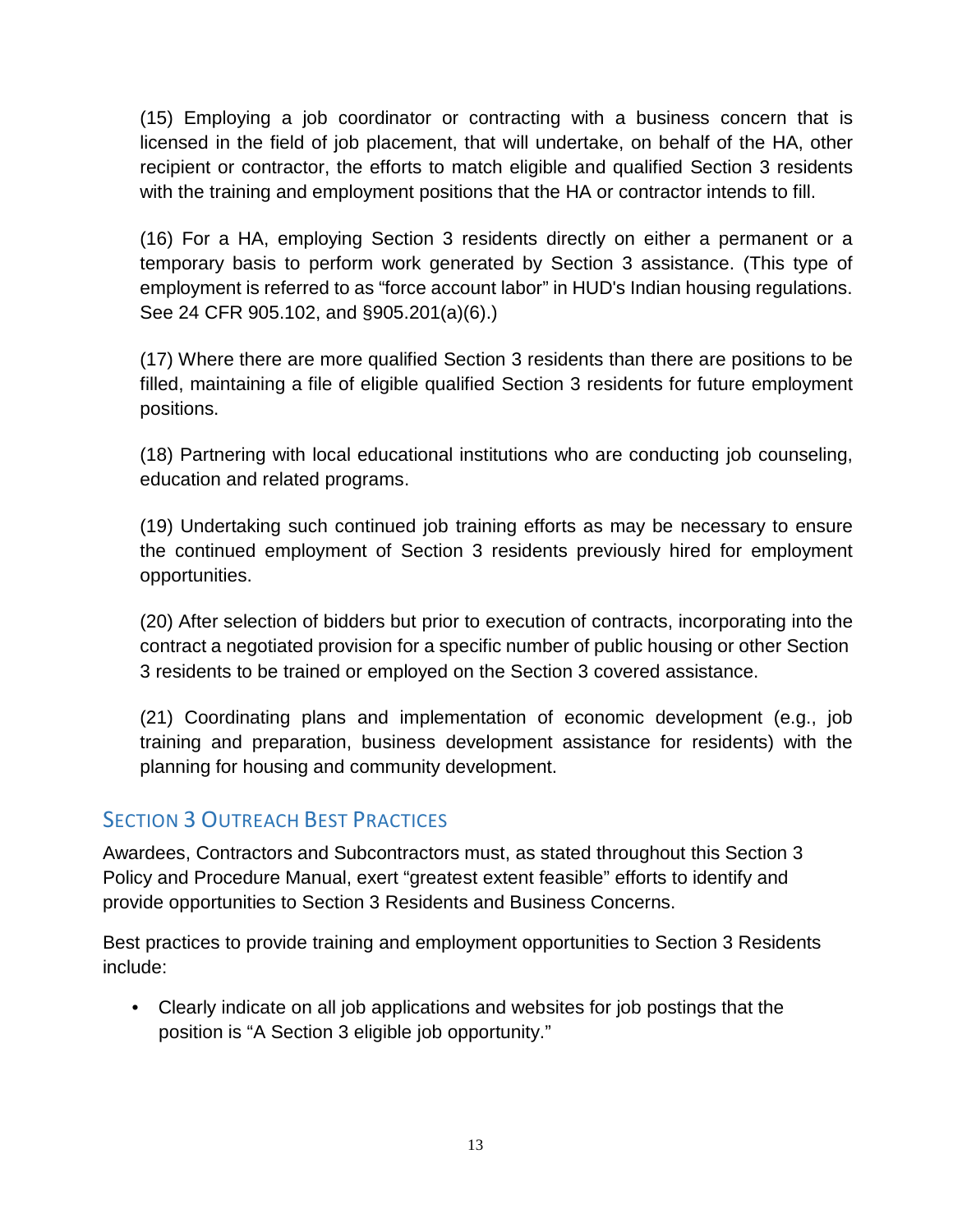(15) Employing a job coordinator or contracting with a business concern that is licensed in the field of job placement, that will undertake, on behalf of the HA, other recipient or contractor, the efforts to match eligible and qualified Section 3 residents with the training and employment positions that the HA or contractor intends to fill.

(16) For a HA, employing Section 3 residents directly on either a permanent or a temporary basis to perform work generated by Section 3 assistance. (This type of employment is referred to as "force account labor" in HUD's Indian housing regulations. See 24 CFR 905.102, and §905.201(a)(6).)

(17) Where there are more qualified Section 3 residents than there are positions to be filled, maintaining a file of eligible qualified Section 3 residents for future employment positions.

(18) Partnering with local educational institutions who are conducting job counseling, education and related programs.

(19) Undertaking such continued job training efforts as may be necessary to ensure the continued employment of Section 3 residents previously hired for employment opportunities.

(20) After selection of bidders but prior to execution of contracts, incorporating into the contract a negotiated provision for a specific number of public housing or other Section 3 residents to be trained or employed on the Section 3 covered assistance.

(21) Coordinating plans and implementation of economic development (e.g., job training and preparation, business development assistance for residents) with the planning for housing and community development.

#### **SECTION 3 OUTREACH BEST PRACTICES**

Awardees, Contractors and Subcontractors must, as stated throughout this Section 3 Policy and Procedure Manual, exert "greatest extent feasible" efforts to identify and provide opportunities to Section 3 Residents and Business Concerns.

Best practices to provide training and employment opportunities to Section 3 Residents include:

• Clearly indicate on all job applications and websites for job postings that the position is "A Section 3 eligible job opportunity."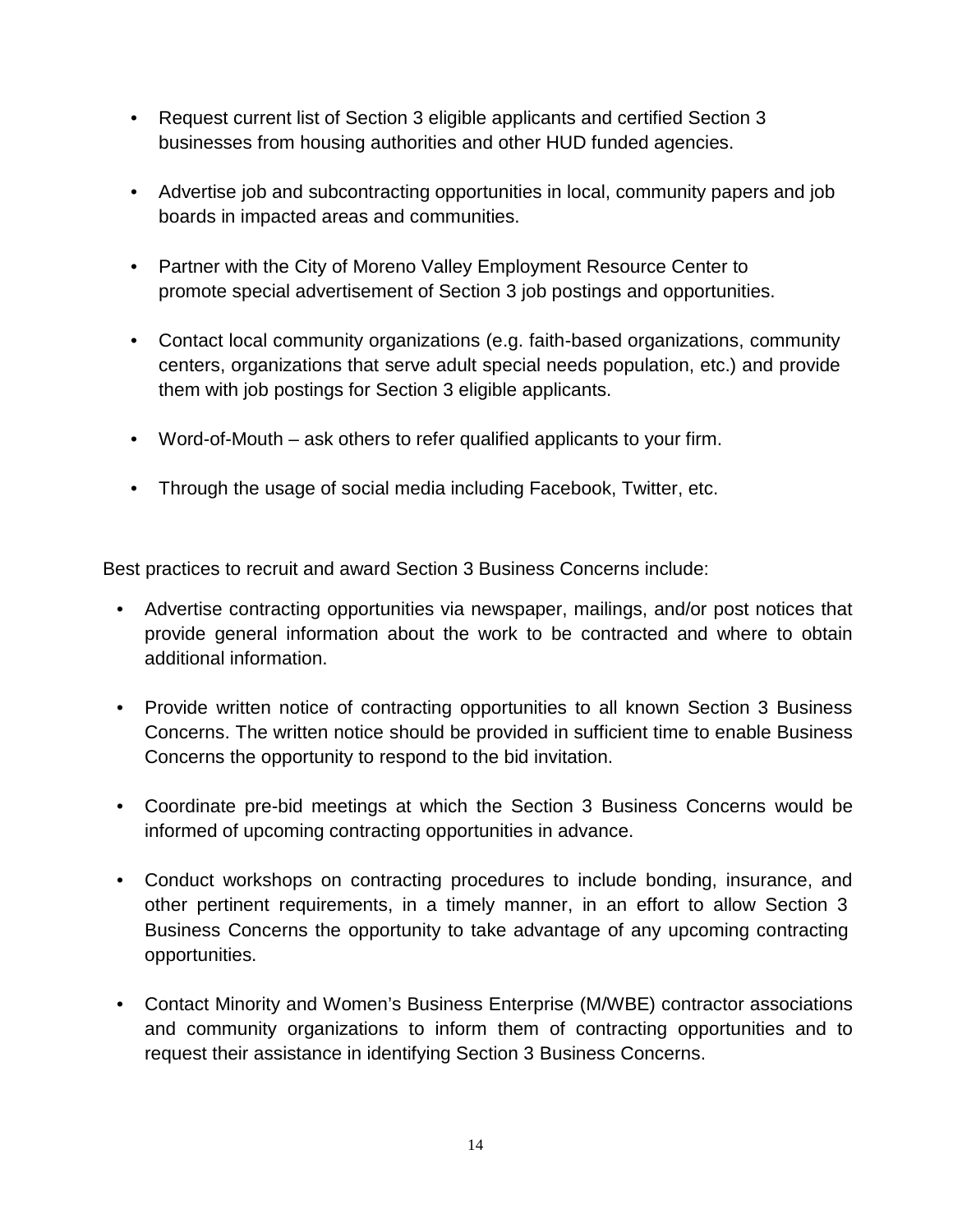- Request current list of Section 3 eligible applicants and certified Section 3 businesses from housing authorities and other HUD funded agencies.
- Advertise job and subcontracting opportunities in local, community papers and job boards in impacted areas and communities.
- Partner with the City of Moreno Valley Employment Resource Center to promote special advertisement of Section 3 job postings and opportunities.
- Contact local community organizations (e.g. faith-based organizations, community centers, organizations that serve adult special needs population, etc.) and provide them with job postings for Section 3 eligible applicants.
- Word-of-Mouth ask others to refer qualified applicants to your firm.
- Through the usage of social media including Facebook, Twitter, etc.

Best practices to recruit and award Section 3 Business Concerns include:

- Advertise contracting opportunities via newspaper, mailings, and/or post notices that provide general information about the work to be contracted and where to obtain additional information.
- Provide written notice of contracting opportunities to all known Section 3 Business Concerns. The written notice should be provided in sufficient time to enable Business Concerns the opportunity to respond to the bid invitation.
- Coordinate pre-bid meetings at which the Section 3 Business Concerns would be informed of upcoming contracting opportunities in advance.
- Conduct workshops on contracting procedures to include bonding, insurance, and other pertinent requirements, in a timely manner, in an effort to allow Section 3 Business Concerns the opportunity to take advantage of any upcoming contracting opportunities.
- Contact Minority and Women's Business Enterprise (M/WBE) contractor associations and community organizations to inform them of contracting opportunities and to request their assistance in identifying Section 3 Business Concerns.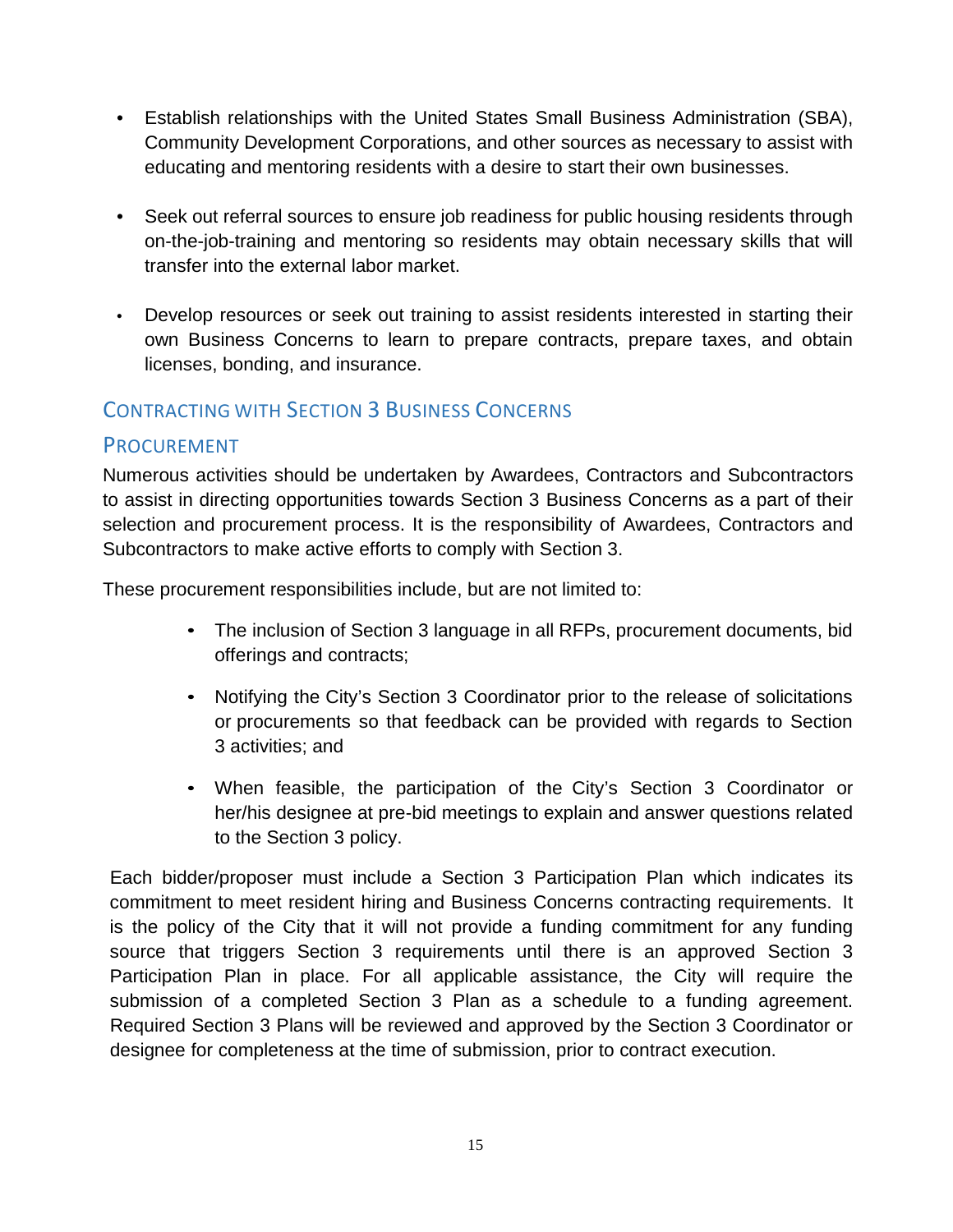- Establish relationships with the United States Small Business Administration (SBA), Community Development Corporations, and other sources as necessary to assist with educating and mentoring residents with a desire to start their own businesses.
- Seek out referral sources to ensure job readiness for public housing residents through on-the-job-training and mentoring so residents may obtain necessary skills that will transfer into the external labor market.
- Develop resources or seek out training to assist residents interested in starting their own Business Concerns to learn to prepare contracts, prepare taxes, and obtain licenses, bonding, and insurance.

#### CONTRACTING WITH SECTION 3 BUSINESS CONCERNS

#### PROCUREMENT

Numerous activities should be undertaken by Awardees, Contractors and Subcontractors to assist in directing opportunities towards Section 3 Business Concerns as a part of their selection and procurement process. It is the responsibility of Awardees, Contractors and Subcontractors to make active efforts to comply with Section 3.

These procurement responsibilities include, but are not limited to:

- The inclusion of Section 3 language in all RFPs, procurement documents, bid offerings and contracts;
- Notifying the City's Section 3 Coordinator prior to the release of solicitations or procurements so that feedback can be provided with regards to Section 3 activities; and
- When feasible, the participation of the City's Section 3 Coordinator or her/his designee at pre-bid meetings to explain and answer questions related to the Section 3 policy.

Each bidder/proposer must include a Section 3 Participation Plan which indicates its commitment to meet resident hiring and Business Concerns contracting requirements. It is the policy of the City that it will not provide a funding commitment for any funding source that triggers Section 3 requirements until there is an approved Section 3 Participation Plan in place. For all applicable assistance, the City will require the submission of a completed Section 3 Plan as a schedule to a funding agreement. Required Section 3 Plans will be reviewed and approved by the Section 3 Coordinator or designee for completeness at the time of submission, prior to contract execution.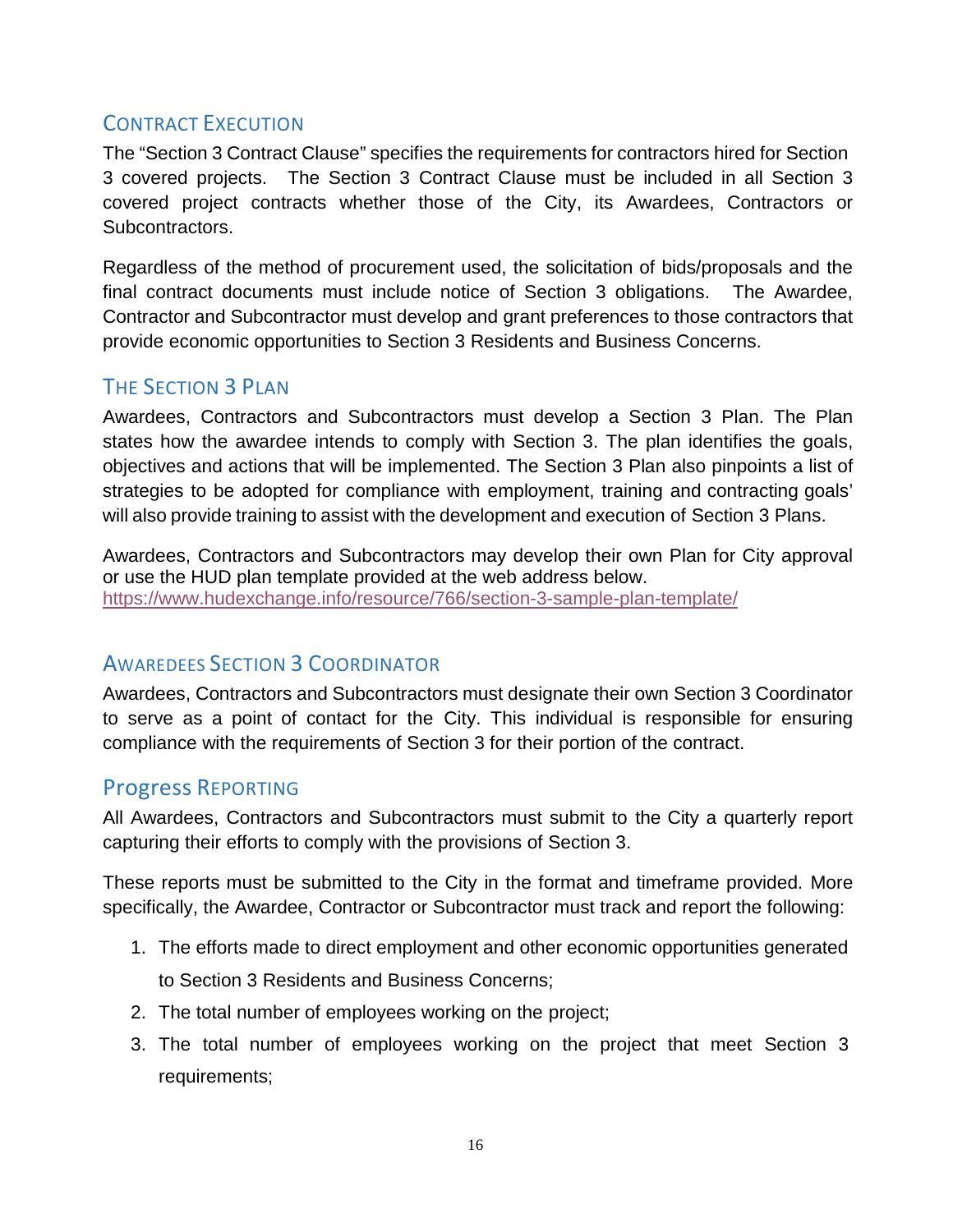#### CONTRACT EXECUTION

The "Section 3 Contract Clause" specifies the requirements for contractors hired for Section 3 covered projects. The Section 3 Contract Clause must be included in all Section 3 covered project contracts whether those of the City, its Awardees, Contractors or Subcontractors.

Regardless of the method of procurement used, the solicitation of bids/proposals and the final contract documents must include notice of Section 3 obligations. The Awardee, Contractor and Subcontractor must develop and grant preferences to those contractors that provide economic opportunities to Section 3 Residents and Business Concerns.

# THE SECTION 3 PLAN

Awardees, Contractors and Subcontractors must develop a Section 3 Plan. The Plan states how the awardee intends to comply with Section 3. The plan identifies the goals, objectives and actions that will be implemented. The Section 3 Plan also pinpoints a list of strategies to be adopted for compliance with employment, training and contracting goals' will also provide training to assist with the development and execution of Section 3 Plans.

Awardees, Contractors and Subcontractors may develop their own Plan for City approval or use the HUD plan template provided at the web address below. https://www.hudexchange.info/resource/766/section-3-sample-plan-template/

#### AWAREDEES SECTION 3 COORDINATOR

Awardees, Contractors and Subcontractors must designate their own Section 3 Coordinator to serve as a point of contact for the City. This individual is responsible for ensuring compliance with the requirements of Section 3 for their portion of the contract.

## Progress REPORTING

All Awardees, Contractors and Subcontractors must submit to the City a quarterly report capturing their efforts to comply with the provisions of Section 3.

These reports must be submitted to the City in the format and timeframe provided. More specifically, the Awardee, Contractor or Subcontractor must track and report the following:

- 1. The efforts made to direct employment and other economic opportunities generated to Section 3 Residents and Business Concerns;
- 2. The total number of employees working on the project;
- 3. The total number of employees working on the project that meet Section 3 requirements;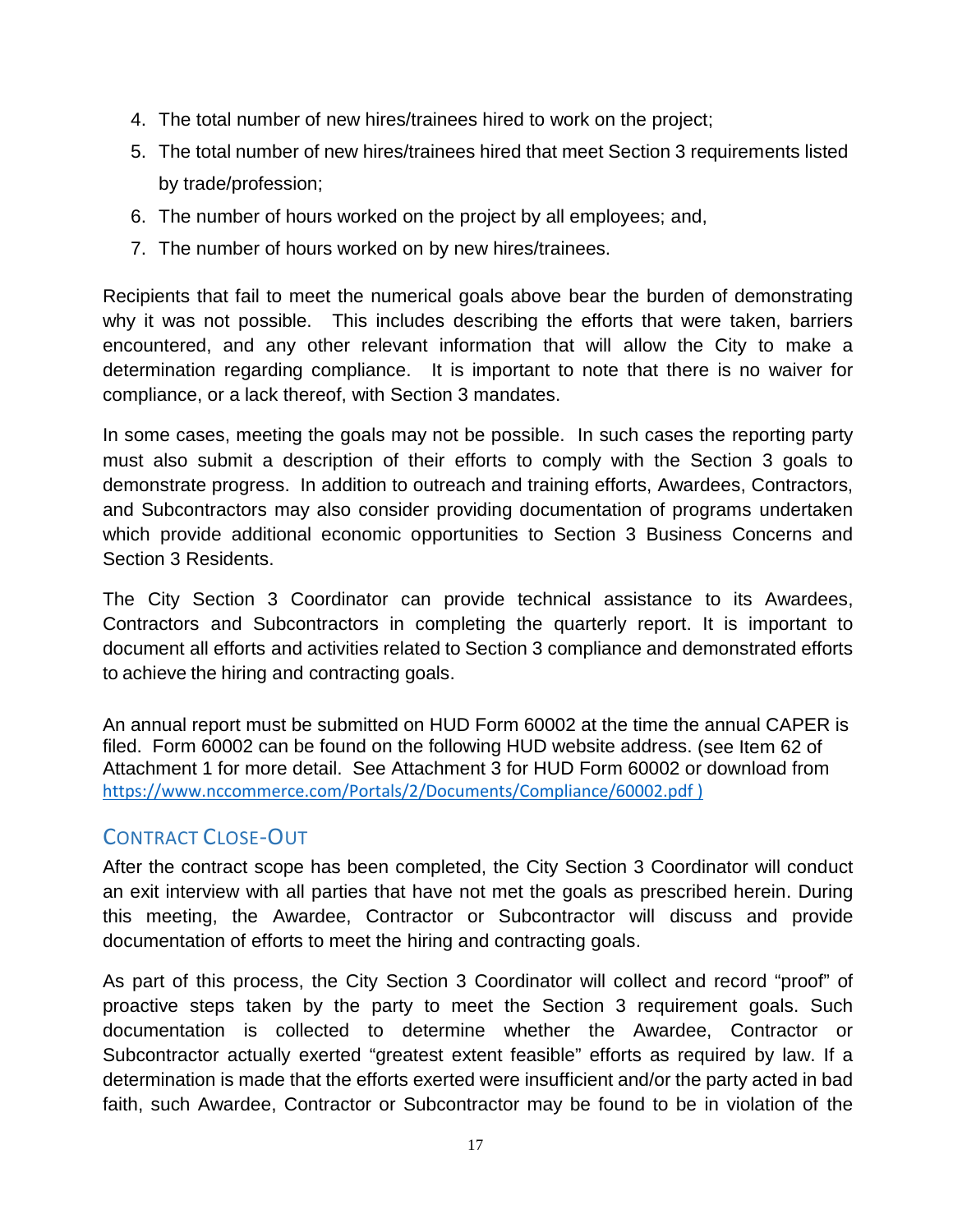- 4. The total number of new hires/trainees hired to work on the project;
- 5. The total number of new hires/trainees hired that meet Section 3 requirements listed by trade/profession;
- 6. The number of hours worked on the project by all employees; and,
- 7. The number of hours worked on by new hires/trainees.

Recipients that fail to meet the numerical goals above bear the burden of demonstrating why it was not possible. This includes describing the efforts that were taken, barriers encountered, and any other relevant information that will allow the City to make a determination regarding compliance. It is important to note that there is no waiver for compliance, or a lack thereof, with Section 3 mandates.

In some cases, meeting the goals may not be possible. In such cases the reporting party must also submit a description of their efforts to comply with the Section 3 goals to demonstrate progress. In addition to outreach and training efforts, Awardees, Contractors, and Subcontractors may also consider providing documentation of programs undertaken which provide additional economic opportunities to Section 3 Business Concerns and Section 3 Residents.

The City Section 3 Coordinator can provide technical assistance to its Awardees, Contractors and Subcontractors in completing the quarterly report. It is important to document all efforts and activities related to Section 3 compliance and demonstrated efforts to achieve the hiring and contracting goals.

An annual report must be submitted on HUD Form 60002 at the time the annual CAPER is filed. Form 60002 can be found on the following HUD website address. (see Item 62 of Attachment 1 for more detail. See Attachment 3 for HUD Form 60002 or download from https://www.nccommerce.com/Portals/2/Documents/Compliance/60002.pdf )

#### CONTRACT CLOSE‐OUT

After the contract scope has been completed, the City Section 3 Coordinator will conduct an exit interview with all parties that have not met the goals as prescribed herein. During this meeting, the Awardee, Contractor or Subcontractor will discuss and provide documentation of efforts to meet the hiring and contracting goals.

As part of this process, the City Section 3 Coordinator will collect and record "proof" of proactive steps taken by the party to meet the Section 3 requirement goals. Such documentation is collected to determine whether the Awardee, Contractor or Subcontractor actually exerted "greatest extent feasible" efforts as required by law. If a determination is made that the efforts exerted were insufficient and/or the party acted in bad faith, such Awardee, Contractor or Subcontractor may be found to be in violation of the